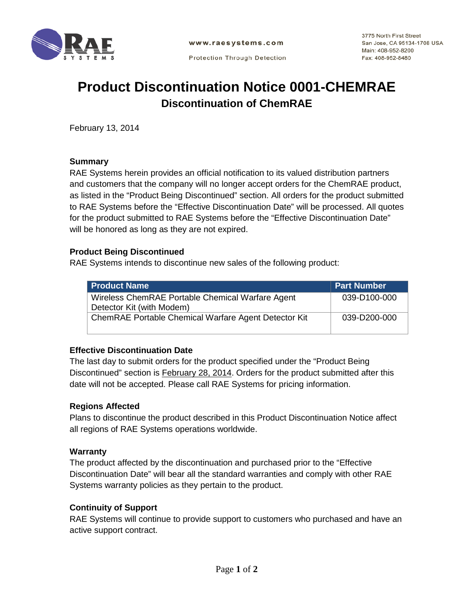

**Protection Through Detection** 

3775 North First Street San Jose, CA 95134-1708 USA Main: 408-952-8200 Fax: 408-952-8480

# **Product Discontinuation Notice 0001-CHEMRAE Discontinuation of ChemRAE**

February 13, 2014

#### **Summary**

RAE Systems herein provides an official notification to its valued distribution partners and customers that the company will no longer accept orders for the ChemRAE product, as listed in the "Product Being Discontinued" section. All orders for the product submitted to RAE Systems before the "Effective Discontinuation Date" will be processed. All quotes for the product submitted to RAE Systems before the "Effective Discontinuation Date" will be honored as long as they are not expired.

#### **Product Being Discontinued**

RAE Systems intends to discontinue new sales of the following product:

| <b>Product Name</b>                                                           | <b>Part Number</b> |
|-------------------------------------------------------------------------------|--------------------|
| Wireless ChemRAE Portable Chemical Warfare Agent<br>Detector Kit (with Modem) | 039-D100-000       |
| ChemRAE Portable Chemical Warfare Agent Detector Kit                          | 039-D200-000       |

## **Effective Discontinuation Date**

The last day to submit orders for the product specified under the "Product Being Discontinued" section is February 28, 2014. Orders for the product submitted after this date will not be accepted. Please call RAE Systems for pricing information.

## **Regions Affected**

Plans to discontinue the product described in this Product Discontinuation Notice affect all regions of RAE Systems operations worldwide.

#### **Warranty**

The product affected by the discontinuation and purchased prior to the "Effective Discontinuation Date" will bear all the standard warranties and comply with other RAE Systems warranty policies as they pertain to the product.

## **Continuity of Support**

RAE Systems will continue to provide support to customers who purchased and have an active support contract.